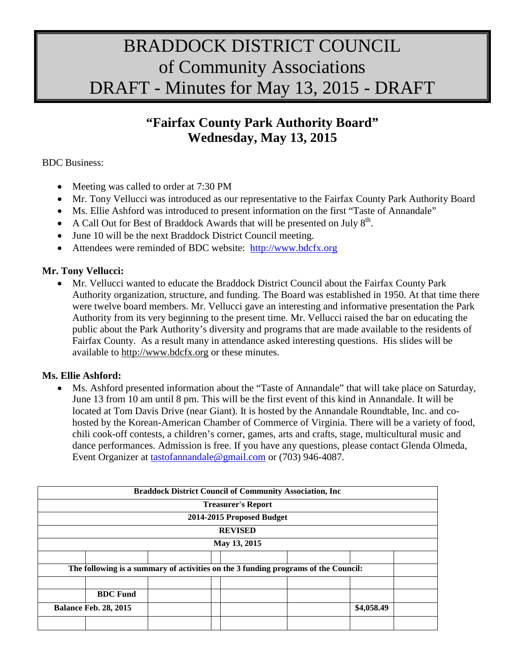## BRADDOCK DISTRICT COUNCIL of Community Associations DRAFT - Minutes for May 13, 2015 - DRAFT

## **"Fairfax County Park Authority Board" Wednesday, May 13, 2015**

BDC Business:

- Meeting was called to order at 7:30 PM
- Mr. Tony Vellucci was introduced as our representative to the Fairfax County Park Authority Board
- Ms. Ellie Ashford was introduced to present information on the first "Taste of Annandale"
- A Call Out for Best of Braddock Awards that will be presented on July  $8<sup>th</sup>$ .
- June 10 will be the next Braddock District Council meeting.
- Attendees were reminded of BDC website: [http://www.bdcfx.org](http://www.bdcfx.org/)

## **Mr. Tony Vellucci:**

• Mr. Vellucci wanted to educate the Braddock District Council about the Fairfax County Park Authority organization, structure, and funding. The Board was established in 1950. At that time there were twelve board members. Mr. Vellucci gave an interesting and informative presentation the Park Authority from its very beginning to the present time. Mr. Vellucci raised the bar on educating the public about the Park Authority's diversity and programs that are made available to the residents of Fairfax County. As a result many in attendance asked interesting questions. His slides will be available to [http://www.bdcfx.org](http://www.bdcfx.org/) or these minutes.

## **Ms. Ellie Ashford:**

• Ms. Ashford presented information about the "Taste of Annandale" that will take place on Saturday, June 13 from 10 am until 8 pm. This will be the first event of this kind in Annandale. It will be located at Tom Davis Drive (near Giant). It is hosted by the Annandale Roundtable, Inc. and cohosted by the Korean-American Chamber of Commerce of Virginia. There will be a variety of food, chili cook-off contests, a children's corner, games, arts and crafts, stage, multicultural music and dance performances. Admission is free. If you have any questions, please contact Glenda Olmeda, Event Organizer at [tastofannandale@gmail.com](mailto:tastofannandale@gmail.com) or (703) 946-4087.

| <b>Braddock District Council of Community Association, Inc.</b>                    |                 |  |  |                           |            |  |  |  |  |  |
|------------------------------------------------------------------------------------|-----------------|--|--|---------------------------|------------|--|--|--|--|--|
|                                                                                    |                 |  |  | <b>Treasurer's Report</b> |            |  |  |  |  |  |
|                                                                                    |                 |  |  | 2014-2015 Proposed Budget |            |  |  |  |  |  |
|                                                                                    |                 |  |  | <b>REVISED</b>            |            |  |  |  |  |  |
| May 13, 2015                                                                       |                 |  |  |                           |            |  |  |  |  |  |
|                                                                                    |                 |  |  |                           |            |  |  |  |  |  |
| The following is a summary of activities on the 3 funding programs of the Council: |                 |  |  |                           |            |  |  |  |  |  |
|                                                                                    |                 |  |  |                           |            |  |  |  |  |  |
|                                                                                    | <b>BDC</b> Fund |  |  |                           |            |  |  |  |  |  |
| <b>Balance Feb. 28, 2015</b>                                                       |                 |  |  |                           | \$4,058.49 |  |  |  |  |  |
|                                                                                    |                 |  |  |                           |            |  |  |  |  |  |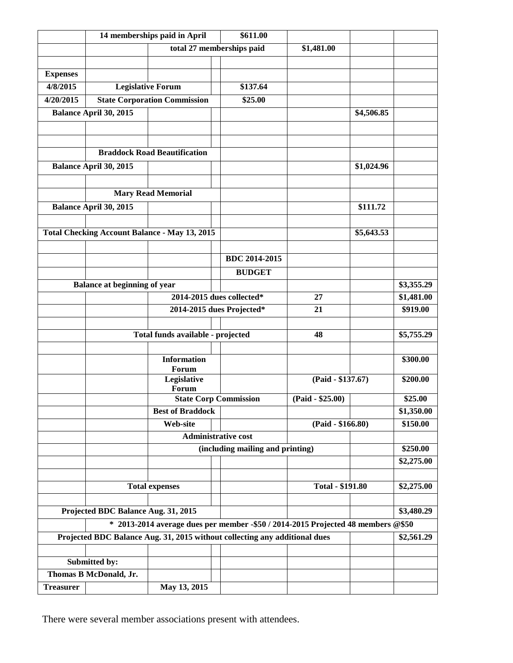|                                                                            |                                     | 14 memberships paid in April                         |                                                                                    |                         |            |                        |  |  |  |  |
|----------------------------------------------------------------------------|-------------------------------------|------------------------------------------------------|------------------------------------------------------------------------------------|-------------------------|------------|------------------------|--|--|--|--|
|                                                                            |                                     |                                                      | total 27 memberships paid                                                          | \$1,481.00              |            |                        |  |  |  |  |
|                                                                            |                                     |                                                      |                                                                                    |                         |            |                        |  |  |  |  |
| <b>Expenses</b>                                                            |                                     |                                                      |                                                                                    |                         |            |                        |  |  |  |  |
| 4/8/2015                                                                   |                                     | <b>Legislative Forum</b>                             | \$137.64                                                                           |                         |            |                        |  |  |  |  |
| 4/20/2015                                                                  |                                     | <b>State Corporation Commission</b>                  | \$25.00                                                                            |                         |            |                        |  |  |  |  |
|                                                                            | Balance April 30, 2015              |                                                      |                                                                                    |                         | \$4,506.85 |                        |  |  |  |  |
|                                                                            |                                     |                                                      |                                                                                    |                         |            |                        |  |  |  |  |
|                                                                            |                                     |                                                      |                                                                                    |                         |            |                        |  |  |  |  |
| <b>Braddock Road Beautification</b>                                        |                                     |                                                      |                                                                                    |                         |            |                        |  |  |  |  |
|                                                                            | Balance April 30, 2015              |                                                      |                                                                                    |                         | \$1,024.96 |                        |  |  |  |  |
|                                                                            |                                     |                                                      |                                                                                    |                         |            |                        |  |  |  |  |
|                                                                            |                                     | <b>Mary Read Memorial</b>                            |                                                                                    |                         |            |                        |  |  |  |  |
|                                                                            | Balance April 30, 2015              |                                                      |                                                                                    |                         | \$111.72   |                        |  |  |  |  |
|                                                                            |                                     |                                                      |                                                                                    |                         |            |                        |  |  |  |  |
|                                                                            |                                     | <b>Total Checking Account Balance - May 13, 2015</b> |                                                                                    |                         | \$5,643.53 |                        |  |  |  |  |
|                                                                            |                                     |                                                      |                                                                                    |                         |            |                        |  |  |  |  |
|                                                                            |                                     |                                                      | <b>BDC 2014-2015</b>                                                               |                         |            |                        |  |  |  |  |
|                                                                            |                                     |                                                      | <b>BUDGET</b>                                                                      |                         |            |                        |  |  |  |  |
|                                                                            |                                     |                                                      |                                                                                    |                         |            |                        |  |  |  |  |
|                                                                            | <b>Balance at beginning of year</b> |                                                      | 2014-2015 dues collected*                                                          |                         |            | \$3,355.29             |  |  |  |  |
|                                                                            |                                     |                                                      |                                                                                    | 27<br>21                |            | \$1,481.00<br>\$919.00 |  |  |  |  |
|                                                                            |                                     |                                                      | 2014-2015 dues Projected*                                                          |                         |            |                        |  |  |  |  |
|                                                                            |                                     | Total funds available - projected                    |                                                                                    | 48                      |            | \$5,755.29             |  |  |  |  |
|                                                                            |                                     |                                                      |                                                                                    |                         |            |                        |  |  |  |  |
|                                                                            |                                     | <b>Information</b>                                   |                                                                                    |                         |            | \$300.00               |  |  |  |  |
|                                                                            |                                     | Forum                                                |                                                                                    |                         |            |                        |  |  |  |  |
|                                                                            |                                     | Legislative<br>Forum                                 |                                                                                    | (Paid - \$137.67)       |            | \$200.00               |  |  |  |  |
|                                                                            |                                     |                                                      | <b>State Corp Commission</b>                                                       | $(Paid - $25.00)$       |            | \$25.00                |  |  |  |  |
|                                                                            |                                     | <b>Best of Braddock</b>                              |                                                                                    |                         |            | \$1,350.00             |  |  |  |  |
|                                                                            |                                     | <b>Web-site</b>                                      |                                                                                    | $(Paid - $166.80)$      |            | \$150.00               |  |  |  |  |
|                                                                            | <b>Administrative cost</b>          |                                                      |                                                                                    |                         |            |                        |  |  |  |  |
|                                                                            |                                     |                                                      | (including mailing and printing)                                                   |                         |            | \$250.00               |  |  |  |  |
|                                                                            |                                     |                                                      |                                                                                    |                         |            | \$2,275.00             |  |  |  |  |
|                                                                            |                                     |                                                      |                                                                                    |                         |            |                        |  |  |  |  |
|                                                                            |                                     | <b>Total expenses</b>                                |                                                                                    | <b>Total - \$191.80</b> |            | \$2,275.00             |  |  |  |  |
|                                                                            |                                     |                                                      |                                                                                    |                         |            |                        |  |  |  |  |
| Projected BDC Balance Aug. 31, 2015                                        |                                     | \$3,480.29                                           |                                                                                    |                         |            |                        |  |  |  |  |
|                                                                            |                                     |                                                      | $*$ 2013-2014 average dues per member -\$50 / 2014-2015 Projected 48 members @\$50 |                         |            |                        |  |  |  |  |
| Projected BDC Balance Aug. 31, 2015 without collecting any additional dues |                                     |                                                      |                                                                                    |                         |            |                        |  |  |  |  |
|                                                                            |                                     |                                                      |                                                                                    |                         |            |                        |  |  |  |  |
|                                                                            | Submitted by:                       |                                                      |                                                                                    |                         |            |                        |  |  |  |  |
|                                                                            | Thomas B McDonald, Jr.              |                                                      |                                                                                    |                         |            |                        |  |  |  |  |
| <b>Treasurer</b>                                                           |                                     | May 13, 2015                                         |                                                                                    |                         |            |                        |  |  |  |  |

There were several member associations present with attendees.